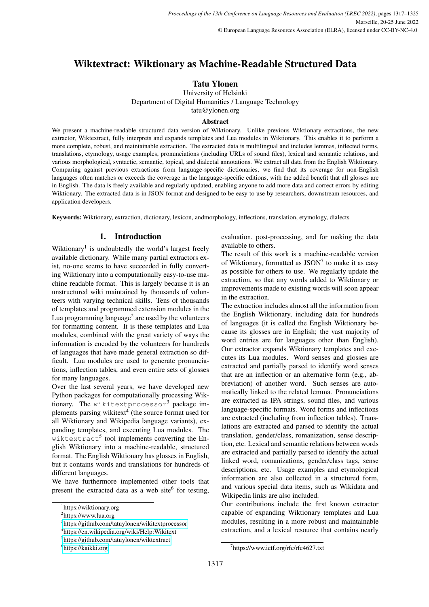# Wiktextract: Wiktionary as Machine-Readable Structured Data

## Tatu Ylonen

University of Helsinki Department of Digital Humanities / Language Technology tatu@ylonen.org

## Abstract

We present a machine-readable structured data version of Wiktionary. Unlike previous Wiktionary extractions, the new extractor, Wiktextract, fully interprets and expands templates and Lua modules in Wiktionary. This enables it to perform a more complete, robust, and maintainable extraction. The extracted data is multilingual and includes lemmas, inflected forms, translations, etymology, usage examples, pronunciations (including URLs of sound files), lexical and semantic relations, and various morphological, syntactic, semantic, topical, and dialectal annotations. We extract all data from the English Wiktionary. Comparing against previous extractions from language-specific dictionaries, we find that its coverage for non-English languages often matches or exceeds the coverage in the language-specific editions, with the added benefit that all glosses are in English. The data is freely available and regularly updated, enabling anyone to add more data and correct errors by editing Wiktionary. The extracted data is in JSON format and designed to be easy to use by researchers, downstream resources, and application developers.

Keywords: Wiktionary, extraction, dictionary, lexicon, andmorphology, inflections, translation, etymology, dialects

#### 1. Introduction

Wiktionary<sup>1</sup> is undoubtedly the world's largest freely available dictionary. While many partial extractors exist, no-one seems to have succeeded in fully converting Wiktionary into a computationally easy-to-use machine readable format. This is largely because it is an unstructured wiki maintained by thousands of volunteers with varying technical skills. Tens of thousands of templates and programmed extension modules in the Lua programming language<sup>2</sup> are used by the volunteers for formatting content. It is these templates and Lua modules, combined with the great variety of ways the information is encoded by the volunteers for hundreds of languages that have made general extraction so difficult. Lua modules are used to generate pronunciations, inflection tables, and even entire sets of glosses for many languages.

Over the last several years, we have developed new Python packages for computationally processing Wiktionary. The wikitextprocessor<sup>3</sup> package implements parsing wikitext<sup>4</sup> (the source format used for all Wiktionary and Wikipedia language variants), expanding templates, and executing Lua modules. The wiktextract<sup>5</sup> tool implements converting the English Wiktionary into a machine-readable, structured format. The English Wiktionary has glosses in English, but it contains words and translations for hundreds of different languages.

We have furthermore implemented other tools that present the extracted data as a web site<sup>6</sup> for testing,

evaluation, post-processing, and for making the data available to others.

The result of this work is a machine-readable version of Wiktionary, formatted as  $\text{JSON}^7$  to make it as easy as possible for others to use. We regularly update the extraction, so that any words added to Wiktionary or improvements made to existing words will soon appear in the extraction.

The extraction includes almost all the information from the English Wiktionary, including data for hundreds of languages (it is called the English Wiktionary because its glosses are in English; the vast majority of word entries are for languages other than English). Our extractor expands Wiktionary templates and executes its Lua modules. Word senses and glosses are extracted and partially parsed to identify word senses that are an inflection or an alternative form (e.g., abbreviation) of another word. Such senses are automatically linked to the related lemma. Pronunciations are extracted as IPA strings, sound files, and various language-specific formats. Word forms and inflections are extracted (including from inflection tables). Translations are extracted and parsed to identify the actual translation, gender/class, romanization, sense description, etc. Lexical and semantic relations between words are extracted and partially parsed to identify the actual linked word, romanizations, gender/class tags, sense descriptions, etc. Usage examples and etymological information are also collected in a structured form, and various special data items, such as Wikidata and Wikipedia links are also included.

Our contributions include the first known extractor capable of expanding Wiktionary templates and Lua modules, resulting in a more robust and maintainable extraction, and a lexical resource that contains nearly

<sup>1</sup> https://wiktionary.org

<sup>&</sup>lt;sup>2</sup>https://www.lua.org

<sup>3</sup> <https://github.com/tatuylonen/wikitextprocessor>

<sup>4</sup> https://en.wikipedia.org/wiki/Help:Wikitext

<sup>&</sup>lt;sup>5</sup><https://github.com/tatuylonen/wiktextract>

<sup>6</sup> <https://kaikki.org>

<sup>7</sup> https://www.ietf.org/rfc/rfc4627.txt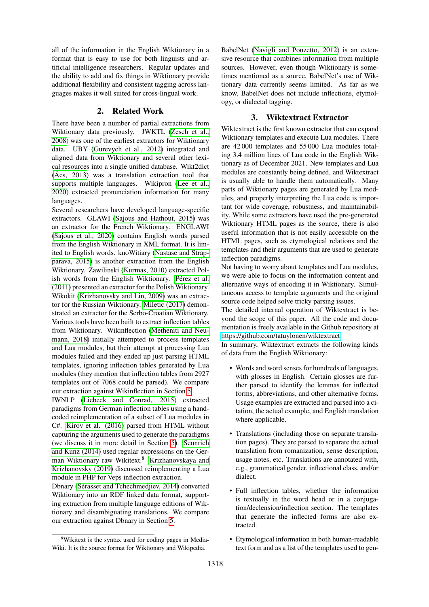all of the information in the English Wiktionary in a format that is easy to use for both linguists and artificial intelligence researchers. Regular updates and the ability to add and fix things in Wiktionary provide additional flexibility and consistent tagging across languages makes it well suited for cross-lingual work.

#### 2. Related Work

There have been a number of partial extractions from Wiktionary data previously. JWKTL [\(Zesch et al.,](#page-8-0) [2008\)](#page-8-0) was one of the earliest extractors for Wiktionary data. UBY [\(Gurevych et al., 2012\)](#page-7-0) integrated and aligned data from Wiktionary and several other lexical resources into a single unified database. Wikt2dict  $(Acs, 2013)$  was a translation extraction tool that supports multiple languages. Wikipron [\(Lee et al.,](#page-7-2) [2020\)](#page-7-2) extracted pronunciation information for many languages.

Several researchers have developed language-specific extractors. GLAWI [\(Sajous and Hathout, 2015\)](#page-7-3) was an extractor for the French Wiktionary. ENGLAWI [\(Sajous et al., 2020\)](#page-7-4) contains English words parsed from the English Wiktionary in XML format. It is limited to English words. knoWitiary [\(Nastase and Strap](#page-7-5)[parava, 2015\)](#page-7-5) is another extraction from the English Wiktionary. Zawilinski [\(Kurmas, 2010\)](#page-7-6) extracted Polish words from the English Wiktionary. Pérez et al. [\(2011\)](#page-7-7) presented an extractor for the Polish Wiktionary. Wikokit [\(Krizhanovsky and Lin, 2009\)](#page-7-8) was an extractor for the Russian Wiktionary. [Miletic \(2017\)](#page-7-9) demonstrated an extractor for the Serbo-Croatian Wiktionary. Various tools have been built to extract inflection tables from Wiktionary. Wikinflection [\(Metheniti and Neu](#page-7-10)[mann, 2018\)](#page-7-10) initially attempted to process templates and Lua modules, but their attempt at processing Lua modules failed and they ended up just parsing HTML templates, ignoring inflection tables generated by Lua modules (they mention that inflection tables from 2927 templates out of 7068 could be parsed). We compare our extraction against Wikinflection in Section [5.](#page-3-0)

IWNLP [\(Liebeck and Conrad, 2015\)](#page-7-11) extracted paradigms from German inflection tables using a handcoded reimplementation of a subset of Lua modules in C#. [Kirov et al. \(2016\)](#page-7-12) parsed from HTML without capturing the arguments used to generate the paradigms (we discuss it in more detail in Section [5\)](#page-3-0). [Sennrich](#page-7-13) [and Kunz \(2014\)](#page-7-13) used regular expressions on the German Wiktionary raw Wikitext.<sup>8</sup> [Krizhanovskaya and](#page-7-14) [Krizhanovsky \(2019\)](#page-7-14) discussed reimplementing a Lua module in PHP for Veps inflection extraction.

Dbnary (Sérasset and Tchechmedjiev, 2014) converted Wiktionary into an RDF linked data format, supporting extraction from multiple language editions of Wiktionary and disambiguating translations. We compare our extraction against Dbnary in Section [5.](#page-3-0)

BabelNet [\(Navigli and Ponzetto, 2012\)](#page-7-15) is an extensive resource that combines information from multiple sources. However, even though Wiktionary is sometimes mentioned as a source, BabelNet's use of Wiktionary data currently seems limited. As far as we know, BabelNet does not include inflections, etymology, or dialectal tagging.

### 3. Wiktextract Extractor

Wiktextract is the first known extractor that can expand Wiktionary templates and execute Lua modules. There are 42 000 templates and 55 000 Lua modules totaling 3.4 million lines of Lua code in the English Wiktionary as of December 2021. New templates and Lua modules are constantly being defined, and Wiktextract is usually able to handle them automatically. Many parts of Wiktionary pages are generated by Lua modules, and properly interpreting the Lua code is important for wide coverage, robustness, and maintainability. While some extractors have used the pre-generated Wiktionary HTML pages as the source, there is also useful information that is not easily accessible on the HTML pages, such as etymological relations and the templates and their arguments that are used to generate inflection paradigms.

Not having to worry about templates and Lua modules, we were able to focus on the information content and alternative ways of encoding it in Wiktionary. Simultaneous access to template arguments and the original source code helped solve tricky parsing issues.

The detailed internal operation of Wiktextract is beyond the scope of this paper. All the code and documentation is freely available in the Github repository at [https://github.com/tatuylonen/wiktextract.](https://github.com/tatuylonen/wiktextract)

In summary, Wiktextract extracts the following kinds of data from the English Wiktionary:

- Words and word senses for hundreds of languages, with glosses in English. Certain glosses are further parsed to identify the lemmas for inflected forms, abbreviations, and other alternative forms. Usage examples are extracted and parsed into a citation, the actual example, and English translation where applicable.
- Translations (including those on separate translation pages). They are parsed to separate the actual translation from romanization, sense description, usage notes, etc. Translations are annotated with, e.g., grammatical gender, inflectional class, and/or dialect.
- Full inflection tables, whether the information is textually in the word head or in a conjugation/declension/inflection section. The templates that generate the inflected forms are also extracted.
- Etymological information in both human-readable text form and as a list of the templates used to gen-

<sup>8</sup>Wikitext is the syntax used for coding pages in Media-Wiki. It is the source format for Wiktionary and Wikipedia.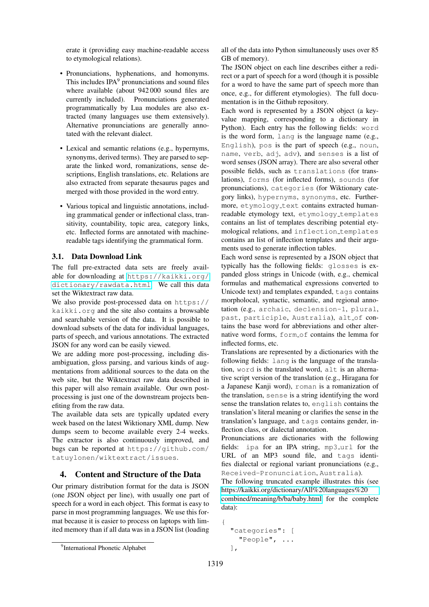erate it (providing easy machine-readable access to etymological relations).

- Pronunciations, hyphenations, and homonyms. This includes  $IPA<sup>9</sup>$  pronunciations and sound files where available (about 942 000 sound files are currently included). Pronunciations generated programmatically by Lua modules are also extracted (many languages use them extensively). Alternative pronunciations are generally annotated with the relevant dialect.
- Lexical and semantic relations (e.g., hypernyms, synonyms, derived terms). They are parsed to separate the linked word, romanizations, sense descriptions, English translations, etc. Relations are also extracted from separate thesaurus pages and merged with those provided in the word entry.
- Various topical and linguistic annotations, including grammatical gender or inflectional class, transitivity, countability, topic area, category links, etc. Inflected forms are annotated with machinereadable tags identifying the grammatical form.

#### 3.1. Data Download Link

The full pre-extracted data sets are freely available for downloading at [https://kaikki.org/](https://kaikki.org/dictionary/rawdata.html) [dictionary/rawdata.html](https://kaikki.org/dictionary/rawdata.html). We call this data set the Wiktextract raw data.

We also provide post-processed data on https:// kaikki.org and the site also contains a browsable and searchable version of the data. It is possible to download subsets of the data for individual languages, parts of speech, and various annotations. The extracted JSON for any word can be easily viewed.

We are adding more post-processing, including disambiguation, gloss parsing, and various kinds of augmentations from additional sources to the data on the web site, but the Wiktextract raw data described in this paper will also remain available. Our own postprocessing is just one of the downstream projects benefiting from the raw data.

The available data sets are typically updated every week based on the latest Wiktionary XML dump. New dumps seem to become available every 2-4 weeks. The extractor is also continuously improved, and bugs can be reported at https://github.com/ tatuylonen/wiktextract/issues.

### 4. Content and Structure of the Data

Our primary distribution format for the data is JSON (one JSON object per line), with usually one part of speech for a word in each object. This format is easy to parse in most programming languages. We use this format because it is easier to process on laptops with limited memory than if all data was in a JSON list (loading all of the data into Python simultaneously uses over 85 GB of memory).

The JSON object on each line describes either a redirect or a part of speech for a word (though it is possible for a word to have the same part of speech more than once, e.g., for different etymologies). The full documentation is in the Github repository.

Each word is represented by a JSON object (a keyvalue mapping, corresponding to a dictionary in Python). Each entry has the following fields: word is the word form, lang is the language name (e.g., English), pos is the part of speech (e.g., noun, name, verb, adj, adv), and senses is a list of word senses (JSON array). There are also several other possible fields, such as translations (for translations), forms (for inflected forms), sounds (for pronunciations), categories (for Wiktionary category links), hypernyms, synonyms, etc. Furthermore, etymology\_text contains extracted humanreadable etymology text, etymology\_templates contains an list of templates describing potential etymological relations, and inflection templates contains an list of inflection templates and their arguments used to generate inflection tables.

Each word sense is represented by a JSON object that typically has the following fields: glosses is expanded gloss strings in Unicode (with, e.g., chemical formulas and mathematical expressions converted to Unicode text) and templates expanded, tags contains morpholocal, syntactic, semantic, and regional annotation (e.g., archaic, declension-1, plural, past, participle, Australia), alt\_of contains the base word for abbreviations and other alternative word forms, form of contains the lemma for inflected forms, etc.

Translations are represented by a dictionaries with the following fields: lang is the language of the translation, word is the translated word, alt is an alternative script version of the translation (e.g., Hiragana for a Japanese Kanji word), roman is a romanization of the translation, sense is a string identifying the word sense the translation relates to, english contains the translation's literal meaning or clarifies the sense in the translation's language, and tags contains gender, inflection class, or dialectal annotation.

Pronunciations are dictionaries with the following fields: ipa for an IPA string, mp3\_url for the URL of an MP3 sound file, and tags identifies dialectal or regional variant pronunciations (e.g., Received-Pronunciation, Australia).

The following truncated example illustrates this (see [https://kaikki.org/dictionary/All%20languages%20](https://kaikki.org/dictionary/All%20languages%20combined/meaning/b/ba/baby.html)

[combined/meaning/b/ba/baby.html](https://kaikki.org/dictionary/All%20languages%20combined/meaning/b/ba/baby.html) for the complete data):

```
{
  "categories": [
    "People", ...
  \cdot
```
<sup>&</sup>lt;sup>9</sup>International Phonetic Alphabet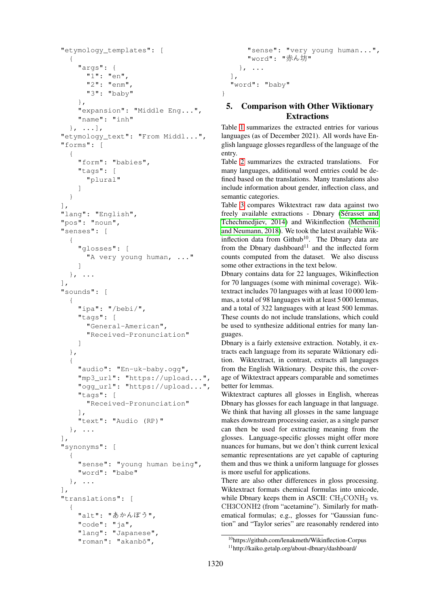```
"etymology_templates": [
  {
    "args": {
      "1": "en",
      "2": "enm",
      "3": "baby"
    },
    "expansion": "Middle Eng...",
    "name": "inh"
  \}, ...],
"etymology_text": "From Middl...",
"forms": [
  {
    "form": "babies",
    "tags": [
      "plural"
    ]
  }
\frac{1}{2},
"lang": "English",
"pos": "noun",
"senses": [
  {
    "glosses": [
      "A very young human, ..."
    ]
  \}, ...
\frac{1}{\sqrt{2}}"sounds": [
  {
    "ipa": "/bebi/",
    "tags": [
      "General-American",
      "Received-Pronunciation"
    ]
  },
  {
    "audio": "En-uk-baby.ogg",
    "mp3_url": "https://upload...",
    "ogg_url": "https://upload...",
    "tags": [
      "Received-Pronunciation"
    ],
    "text": "Audio (RP)"
  }, \ldots],
"synonyms": [
  {
    "sense": "young human being",
    "word": "babe"
  }, ...
],
"translations": [
  {
    "alt": "あかんぼう",
    "code": "ja",
    "lang": "Japanese",
    "roman": "akanbō",
```

```
"sense": "very young human...",
    "word": "赤ん坊"
  }, ...
],
"word": "baby"
```
## <span id="page-3-0"></span>5. Comparison with Other Wiktionary Extractions

}

Table [1](#page-4-0) summarizes the extracted entries for various languages (as of December 2021). All words have English language glosses regardless of the language of the entry.

Table [2](#page-4-1) summarizes the extracted translations. For many languages, additional word entries could be defined based on the translations. Many translations also include information about gender, inflection class, and semantic categories.

Table [3](#page-5-0) compares Wiktextract raw data against two freely available extractions - Dbnary (Sérasset and [Tchechmedjiev, 2014\)](#page-8-1) and Wikinflection [\(Metheniti](#page-7-10) [and Neumann, 2018\)](#page-7-10). We took the latest available Wikinflection data from Github<sup>10</sup>. The Dbnary data are from the Dbnary dashboard $11$  and the inflected form counts computed from the dataset. We also discuss some other extractions in the text below.

Dbnary contains data for 22 languages, Wikinflection for 70 languages (some with minimal coverage). Wiktextract includes 70 languages with at least 10 000 lemmas, a total of 98 languages with at least 5 000 lemmas, and a total of 322 languages with at least 500 lemmas. These counts do not include translations, which could be used to synthesize additional entries for many languages.

Dbnary is a fairly extensive extraction. Notably, it extracts each language from its separate Wiktionary edition. Wiktextract, in contrast, extracts all languages from the English Wiktionary. Despite this, the coverage of Wiktextract appears comparable and sometimes better for lemmas.

Wiktextract captures all glosses in English, whereas Dbnary has glosses for each language in that language. We think that having all glosses in the same language makes downstream processing easier, as a single parser can then be used for extracting meaning from the glosses. Language-specific glosses might offer more nuances for humans, but we don't think current lexical semantic representations are yet capable of capturing them and thus we think a uniform language for glosses is more useful for applications.

There are also other differences in gloss processing. Wiktextract formats chemical formulas into unicode, while Dbnary keeps them in ASCII:  $CH<sub>3</sub>CONH<sub>2</sub>$  vs. CH3CONH2 (from "acetamine"). Similarly for mathematical formulas; e.g., glosses for "Gaussian function" and "Taylor series" are reasonably rendered into

<sup>10</sup>https://github.com/lenakmeth/Wikinflection-Corpus

<sup>11</sup>http://kaiko.getalp.org/about-dbnary/dashboard/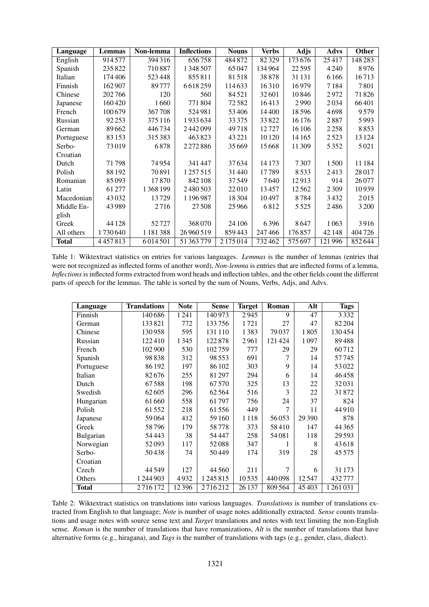| Language     | Lemmas  | Non-lemma     | <b>Inflections</b> | <b>Nouns</b> | <b>Verbs</b> | <b>Adjs</b> | Advs    | Other   |
|--------------|---------|---------------|--------------------|--------------|--------------|-------------|---------|---------|
| English      | 914577  | 394316        | 656758             | 484 872      | 82329        | 173676      | 25417   | 148283  |
| Spanish      | 235 822 | 710887        | 1348507            | 65047        | 134964       | 22595       | 4 2 4 0 | 8976    |
| Italian      | 174406  | 523448        | 855811             | 81518        | 38878        | 31 131      | 6166    | 16713   |
| Finnish      | 162907  | 89777         | 6618259            | 114633       | 16310        | 16979       | 7184    | 7801    |
| Chinese      | 202766  | 120           | 560                | 84521        | 32601        | 10846       | 2972    | 71826   |
| Japanese     | 160420  | 1660          | 771804             | 72582        | 16413        | 2990        | 2034    | 66401   |
| French       | 100679  | 367708        | 524981             | 53406        | 14400        | 18596       | 4698    | 9579    |
| Russian      | 92 253  | 375116        | 1933634            | 33375        | 33822        | 16 176      | 2887    | 5993    |
| German       | 89662   | 446734        | 2442099            | 49718        | 12727        | 16 10 6     | 2258    | 8853    |
| Portuguese   | 83 153  | 315383        | 463823             | 43 2 2 1     | 10 1 20      | 14 165      | 2523    | 13 1 24 |
| Serbo-       | 73019   | 6878          | 2272886            | 35669        | 15668        | 11 309      | 5352    | 5021    |
| Croatian     |         |               |                    |              |              |             |         |         |
| Dutch        | 71798   | 74954         | 341 447            | 37634        | 14173        | 7307        | 1500    | 11 184  |
| Polish       | 88 192  | 70891         | 1257515            | 31440        | 17789        | 8533        | 2413    | 28017   |
| Romanian     | 85093   | 17870         | 842108             | 37549        | 7640         | 12913       | 914     | 26077   |
| Latin        | 61 277  | 1 3 6 8 1 9 9 | 2480503            | 22010        | 13457        | 12562       | 2309    | 10939   |
| Macedonian   | 43 0 32 | 13729         | 1 196 987          | 18 3 04      | 10497        | 8784        | 3432    | 2015    |
| Middle En-   | 43989   | 2716          | 27508              | 25966        | 6812         | 5 5 2 5     | 2486    | 3 2 0 0 |
| glish        |         |               |                    |              |              |             |         |         |
| Greek        | 44 1 28 | 52727         | 368070             | 24 10 6      | 6396         | 8647        | 1063    | 3916    |
| All others   | 1730640 | 1 1 8 1 3 8 8 | 26960519           | 859443       | 247466       | 176857      | 42 148  | 404726  |
| <b>Total</b> | 4457813 | 6014501       | 51 363 779         | 2 175 014    | 732462       | 575 697     | 121996  | 852644  |

<span id="page-4-0"></span>Table 1: Wiktextract statistics on entries for various languages. *Lemmas* is the number of lemmas (entries that were not recognized as inflected forms of another word), *Non-lemma* is entries that are inflected forms of a lemma, *Inflections* is inflected forms extracted from word heads and inflection tables, and the other fields count the different parts of speech for the lemmas. The table is sorted by the sum of Nouns, Verbs, Adjs, and Advs.

| Language     | <b>Translations</b> | <b>Note</b> | <b>Sense</b> | <b>Target</b> | Roman  | Alt      | <b>Tags</b> |
|--------------|---------------------|-------------|--------------|---------------|--------|----------|-------------|
| Finnish      | 140686              | 1 2 4 1     | 140973       | 2945          | 9      | 47       | 3332        |
| German       | 133821              | 772         | 133756       | 1721          | 27     | 47       | 82 204      |
| Chinese      | 130958              | 595         | 131 110      | 1383          | 79037  | 1805     | 130454      |
| Russian      | 122410              | 1 3 4 5     | 122878       | 2961          | 121424 | 1097     | 89488       |
| French       | 102 900             | 530         | 102759       | 777           | 29     | 29       | 60712       |
| Spanish      | 98838               | 312         | 98553        | 691           | 7      | 14       | 57745       |
| Portuguese   | 86192               | 197         | 86 102       | 303           | 9      | 14       | 53022       |
| Italian      | 82676               | 255         | 81297        | 294           | 6      | 14       | 46458       |
| Dutch        | 67588               | 198         | 67570        | 325           | 13     | 22       | 32031       |
| Swedish      | 62605               | 296         | 62564        | 516           | 3      | 22       | 31872       |
| Hungarian    | 61 660              | 558         | 61797        | 756           | 24     | 37       | 824         |
| Polish       | 61552               | 218         | 61556        | 449           | 7      | 11       | 44910       |
| Japanese     | 59064               | 412         | 59 160       | 1118          | 56053  | 29 3 9 0 | 878         |
| Greek        | 58796               | 179         | 58778        | 373           | 58410  | 147      | 44 3 65     |
| Bulgarian    | 54443               | 38          | 54447        | 258           | 54081  | 118      | 29593       |
| Norwegian    | 52093               | 117         | 52088        | 347           | 1      | 8        | 43618       |
| Serbo-       | 50438               | 74          | 50449        | 174           | 319    | 28       | 45575       |
| Croatian     |                     |             |              |               |        |          |             |
| Czech        | 44549               | 127         | 44 5 6 0     | 211           | 7      | 6        | 31 173      |
| Others       | 1 244 903           | 4932        | 1245815      | 10535         | 440098 | 12547    | 432777      |
| <b>Total</b> | 2716172             | 12396       | 2716212      | 26 137        | 809564 | 45 403   | 1261031     |

<span id="page-4-1"></span>Table 2: Wiktextract statistics on translations into various languages. *Translations* is number of translations extracted from English to that language; *Note* is number of usage notes additionally extracted. *Sense* counts translations and usage notes with source sense text and *Target* translations and notes with text limiting the non-English sense. *Roman* is the number of translations that have romanizations, *Alt* is the number of translations that have alternative forms (e.g., hiragana), and *Tags* is the number of translations with tags (e.g., gender, class, dialect).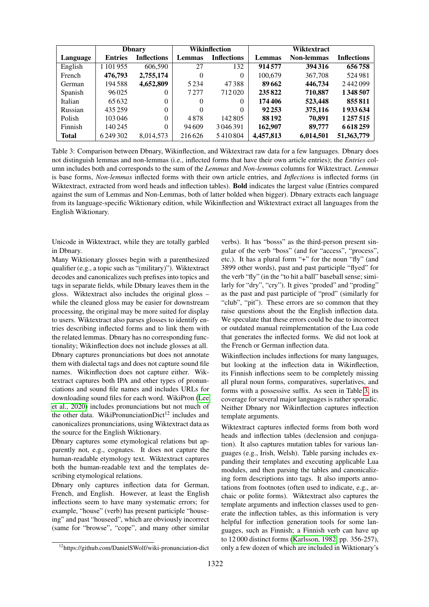|               | <b>D</b> bnary |                    | Wikinflection |                    |               | Wiktextract       |                    |
|---------------|----------------|--------------------|---------------|--------------------|---------------|-------------------|--------------------|
| Language      | <b>Entries</b> | <b>Inflections</b> | Lemmas        | <b>Inflections</b> | <b>Lemmas</b> | <b>Non-lemmas</b> | <b>Inflections</b> |
| English       | 1 101 955      | 606.590            | 27            | 132                | 914577        | 394 316           | 656758             |
| French        | 476,793        | 2,755,174          | 0             | $\Omega$           | 100,679       | 367,708           | 524981             |
| <b>German</b> | 194588         | 4,652,809          | 5 2 3 4       | 47388              | 89662         | 446,734           | 2442099            |
| Spanish       | 96025          | $\theta$           | 7277          | 712020             | 235822        | 710,887           | 1348507            |
| Italian       | 65632          | 0                  | 0             | $\Omega$           | 174406        | 523,448           | 855811             |
| Russian       | 435259         | 0                  | $\theta$      | $\Omega$           | 92 253        | 375,116           | 1933634            |
| Polish        | 103046         | 0                  | 4878          | 142 805            | 88 192        | 70,891            | 1 2 5 7 5 1 5      |
| Finnish       | 140 245        | 0                  | 94609         | 3 046 391          | 162,907       | 89,777            | 6618259            |
| <b>Total</b>  | 6 249 302      | 8.014.573          | 216626        | 5410804            | 4.457.813     | 6,014,501         | 51,363,779         |

<span id="page-5-0"></span>Table 3: Comparison between Dbnary, Wikinflection, and Wiktextract raw data for a few languages. Dbnary does not distinguish lemmas and non-lemmas (i.e., inflected forms that have their own article entries); the *Entries* column includes both and corresponds to the sum of the *Lemmas* and *Non-lemmas* columns for Wiktextract. *Lemmas* is base forms, *Non-lemmas* inflected forms with their own article entries, and *Inflections* is inflected forms (in Wiktextract, extracted from word heads and inflection tables). Bold indicates the largest value (Entries compared against the sum of Lemmas and Non-Lemmas, both of latter bolded when bigger). Dbnary extracts each language from its language-specific Wiktionary edition, while Wikinflection and Wiktextract extract all languages from the English Wiktionary.

Unicode in Wiktextract, while they are totally garbled in Dbnary.

Many Wiktionary glosses begin with a parenthesized qualifier (e.g., a topic such as "(military)"). Wiktextract decodes and canonicalizes such prefixes into topics and tags in separate fields, while Dbnary leaves them in the gloss. Wiktextract also includes the original gloss – while the cleaned gloss may be easier for downstream processing, the original may be more suited for display to users. Wiktextract also parses glosses to identify entries describing inflected forms and to link them with the related lemmas. Dbnary has no corresponding functionality; Wikinflection does not include glosses at all. Dbnary captures pronunciations but does not annotate them with dialectal tags and does not capture sound file names. Wikinflection does not capture either. Wiktextract captures both IPA and other types of pronunciations and sound file names and includes URLs for downloading sound files for each word. WikiPron [\(Lee](#page-7-2) [et al., 2020\)](#page-7-2) includes pronunciations but not much of the other data. WikiPronunciationDict<sup>12</sup> includes and canonicalizes pronunciations, using Wiktextract data as the source for the English Wiktionary.

Dbnary captures some etymological relations but apparently not, e.g., cognates. It does not capture the human-readable etymology text. Wiktextract captures both the human-readable text and the templates describing etymological relations.

Dbnary only captures inflection data for German, French, and English. However, at least the English inflections seem to have many systematic errors; for example, "house" (verb) has present participle "houseing" and past "houseed", which are obviously incorrect (same for "browse", "cope", and many other similar

verbs). It has "bosss" as the third-person present singular of the verb "boss" (and for "access", "process", etc.). It has a plural form "+" for the noun "fly" (and 3899 other words), past and past participle "flyed" for the verb "fly" (in the "to hit a ball" baseball sense; similarly for "dry", "cry"). It gives "proded" and "proding" as the past and past participle of "prod" (similarly for "club", "pit"). These errors are so common that they raise questions about the the English inflection data. We speculate that these errors could be due to incorrect or outdated manual reimplementation of the Lua code that generates the inflected forms. We did not look at the French or German inflection data.

Wikinflection includes inflections for many languages, but looking at the inflection data in Wikinflection, its Finnish inflections seem to be completely missing all plural noun forms, comparatives, superlatives, and forms with a possessive suffix. As seen in Table [3,](#page-5-0) its coverage for several major languages is rather sporadic. Neither Dbnary nor Wikinflection captures inflection template arguments.

Wiktextract captures inflected forms from both word heads and inflection tables (declension and conjugation). It also captures mutation tables for various languages (e.g., Irish, Welsh). Table parsing includes expanding their templates and executing applicable Lua modules, and then parsing the tables and canonicalizing form descriptions into tags. It also imports annotations from footnotes (often used to indicate, e.g., archaic or polite forms). Wiktextract also captures the template arguments and inflection classes used to generate the inflection tables, as this information is very helpful for inflection generation tools for some languages, such as Finnish; a Finnish verb can have up to 12 000 distinct forms [\(Karlsson, 1982,](#page-7-16) pp. 356-257), only a few dozen of which are included in Wiktionary's

<sup>12</sup>https://github.com/DanielSWolf/wiki-pronunciation-dict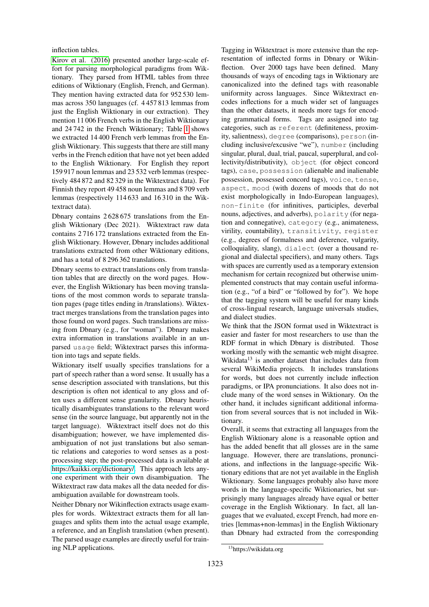#### inflection tables.

[Kirov et al. \(2016\)](#page-7-12) presented another large-scale effort for parsing morphological paradigms from Wiktionary. They parsed from HTML tables from three editions of Wiktionary (English, French, and German). They mention having extracted data for 952 530 lemmas across 350 languages (cf. 4 457 813 lemmas from just the English Wiktionary in our extraction). They mention 11 006 French verbs in the English Wiktionary and 24 742 in the French Wiktionary; Table [1](#page-4-0) shows we extracted 14 400 French verb lemmas from the English Wiktionary. This suggests that there are still many verbs in the French edition that have not yet been added to the English Wiktionary. For English they report 159 917 noun lemmas and 23 532 verb lemmas (respectively 484 872 and 82 329 in the Wiktextract data). For Finnish they report 49 458 noun lemmas and 8 709 verb lemmas (respectively 114 633 and 16 310 in the Wiktextract data).

Dbnary contains 2 628 675 translations from the English Wiktionary (Dec 2021). Wiktextract raw data contains 2 716 172 translations extracted from the English Wiktionary. However, Dbnary includes additional translations extracted from other Wiktionary editions, and has a total of 8 296 362 translations.

Dbnary seems to extract translations only from translation tables that are directly on the word pages. However, the English Wiktionary has been moving translations of the most common words to separate translation pages (page titles ending in /translations). Wiktextract merges translations from the translation pages into those found on word pages. Such translations are missing from Dbnary (e.g., for "woman"). Dbnary makes extra information in translations available in an unparsed usage field; Wiktextract parses this information into tags and sepate fields.

Wiktionary itself usually specifies translations for a part of speech rather than a word sense. It usually has a sense description associated with translations, but this description is often not identical to any gloss and often uses a different sense granularity. Dbnary heuristically disambiguates translations to the relevant word sense (in the source language, but apparently not in the target language). Wiktextract itself does not do this disambiguation; however, we have implemented disambiguation of not just translations but also semantic relations and categories to word senses as a postprocessing step; the post-processed data is available at [https://kaikki.org/dictionary/.](https://kaikki.org) This approach lets anyone experiment with their own disambiguation. The Wiktextract raw data makes all the data needed for disambiguation available for downstream tools.

Neither Dbnary nor Wikinflection extracts usage examples for words. Wiktextract extracts them for all languages and splits them into the actual usage example, a reference, and an English translation (when present). The parsed usage examples are directly useful for training NLP applications.

Tagging in Wiktextract is more extensive than the representation of inflected forms in Dbnary or Wikinflection. Over 2000 tags have been defined. Many thousands of ways of encoding tags in Wiktionary are canonicalized into the defined tags with reasonable uniformity across languages. Since Wiktextract encodes inflections for a much wider set of languages than the other datasets, it needs more tags for encoding grammatical forms. Tags are assigned into tag categories, such as referent (definiteness, proximity, salientness), degree (comparisons), person (including inclusive/excusive "we"), number (including singular, plural, dual, trial, paucal, superplural, and collectivity/distributivity), object (for object concord tags), case, possession (alienable and inalienable possession, possessed concord tags), voice, tense, aspect, mood (with dozens of moods that do not exist morphologically in Indo-European languages), non-finite (for infinitives, participles, deverbal nouns, adjectives, and adverbs), polarity (for negation and connegative), category (e.g., animateness, virility, countability), transitivity, register (e.g., degrees of formalness and deference, vulgarity, colloquiality, slang), dialect (over a thousand regional and dialectal specifiers), and many others. Tags with spaces are currently used as a temporary extension mechanism for certain recognized but otherwise unimplemented constructs that may contain useful information (e.g., "of a bird" or "followed by for"). We hope that the tagging system will be useful for many kinds of cross-lingual research, language universals studies, and dialect studies.

We think that the JSON format used in Wiktextract is easier and faster for most researchers to use than the RDF format in which Dbnary is distributed. Those working mostly with the semantic web might disagree. Wikidata<sup>13</sup> is another dataset that includes data from several WikiMedia projects. It includes translations for words, but does not currently include inflection paradigms, or IPA pronunciations. It also does not include many of the word senses in Wiktionary. On the other hand, it includes significant additional information from several sources that is not included in Wiktionary.

Overall, it seems that extracting all languages from the English Wiktionary alone is a reasonable option and has the added benefit that all glosses are in the same language. However, there are translations, pronunciations, and inflections in the language-specific Wiktionary editions that are not yet available in the English Wiktionary. Some languages probably also have more words in the language-specific Wiktionaries, but surprisingly many languages already have equal or better coverage in the English Wiktionary. In fact, all languages that we evaluated, except French, had more entries [lemmas+non-lemmas] in the English Wiktionary than Dbnary had extracted from the corresponding

<sup>13</sup>https://wikidata.org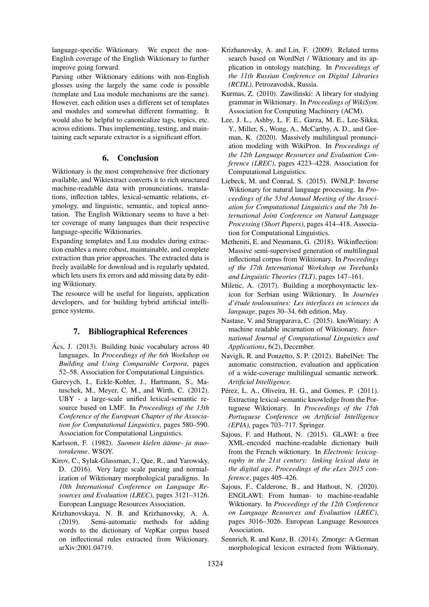language-specific Wiktionary. We expect the non-English coverage of the English Wiktionary to further improve going forward.

Parsing other Wiktionary editions with non-English glosses using the largely the same code is possible (template and Lua module mechanisms are the same). However, each edition uses a different set of templates and modules and somewhat different formatting. It would also be helpful to canonicalize tags, topics, etc. across editions. Thus implementing, testing, and maintaining each separate extractor is a significant effort.

#### 6. Conclusion

Wiktionary is the most comprehensive free dictionary available, and Wiktextract converts it to rich structured machine-readable data with pronunciations, translations, inflection tables, lexical-semantic relations, etymology, and linguistic, semantic, and topical annotation. The English Wiktionary seems to have a better coverage of many languages than their respective language-specific Wiktionaries.

Expanding templates and Lua modules during extraction enables a more robust, maintainable, and complete extraction than prior approaches. The extracted data is freely available for download and is regularly updated, which lets users fix errors and add missing data by editing Wiktionary.

The resource will be useful for linguists, application developers, and for building hybrid artificial intelligence systems.

### 7. Bibliographical References

- <span id="page-7-1"></span>Ács, J.  $(2013)$ . Building basic vocabulary across 40 languages. In *Proceedings of the 6th Workshop on Building and Using Comparable Corpora*, pages 52–58. Association for Computational Linguistics.
- <span id="page-7-0"></span>Gurevych, I., Eckle-Kohler, J., Hartmann, S., Matuschek, M., Meyer, C. M., and Wirth, C. (2012). UBY - a large-scale unified lexical-semantic resource based on LMF. In *Proceedings of the 13th Conference of the European Chapter of the Association for Computational Linguistics*, pages 580–590. Association for Computational Linguistics.
- <span id="page-7-16"></span>Karlsson, F. (1982). *Suomen kielen äänne- ja muotorakenne*. WSOY.
- <span id="page-7-12"></span>Kirov, C., Sylak-Glassman, J., Que, R., and Yarowsky, D. (2016). Very large scale parsing and normalization of Wiktionary morphological paradigms. In *10th International Conference on Language Resources and Evaluation (LREC)*, pages 3121–3126. European Language Resources Association.
- <span id="page-7-14"></span>Krizhanovskaya, N. B. and Krizhanovsky, A. A. (2019). Semi-automatic methods for adding words to the dictionary of VepKar corpus based on inflectional rules extracted from Wiktionary. arXiv:2001.04719.
- <span id="page-7-8"></span>Krizhanovsky, A. and Lin, F. (2009). Related terms search based on WordNet / Wiktionary and its application in ontology matching. In *Proceedings of the 11th Russian Conference on Digital Libraries (RCDL)*, Petrozavodsk, Russia.
- <span id="page-7-6"></span>Kurmas, Z. (2010). Zawilinski: A library for studying grammar in Wiktionary. In *Proceedings of WikiSym*. Association for Computing Machinery (ACM).
- <span id="page-7-2"></span>Lee, J. L., Ashby, L. F. E., Garza, M. E., Lee-Sikka, Y., Miller, S., Wong, A., McCarthy, A. D., and Gorman, K. (2020). Massively multilingual pronunciation modeling with WikiPron. In *Proceedings of the 12th Language Resources and Evaluation Conference (LREC)*, pages 4223–4228. Association for Computational Linguistics.
- <span id="page-7-11"></span>Liebeck, M. and Conrad, S. (2015). IWNLP: Inverse Wiktionary for natural language processing. In *Proceedings of the 53rd Annual Meeting of the Association for Computational Linguistics and the 7th International Joint Conference on Natural Language Processing (Short Papers)*, pages 414–418. Association for Computational Linguistics.
- <span id="page-7-10"></span>Metheniti, E. and Neumann, G. (2018). Wikinflection: Massive semi-supervised generation of multilingual inflectional corpus from Wiktionary. In *Proceedings of the 17th International Workshop on Treebanks and Linguistic Theories (TLT)*, pages 147–161.
- <span id="page-7-9"></span>Miletic, A. (2017). Building a morphosyntactic lexicon for Serbian using Wiktionary. In *Journees ´ d'etude toulousaines: Les interfaces en sciences du ´ language*, pages 30–34. 6th edition, May.
- <span id="page-7-5"></span>Nastase, V. and Strapparava, C. (2015). knoWitiary: A machine readable incarnation of Wiktionary. *International Journal of Computational Linguistics and Applications*, 6(2), December.
- <span id="page-7-15"></span>Navigli, R. and Ponzetto, S. P. (2012). BabelNet: The automatic construction, evaluation and application of a wide-coverage multilingual semantic network. *Artificial Intelligence*.
- <span id="page-7-7"></span>Pérez, L. A., Oliveira, H. G., and Gomes, P. (2011). Extracting lexical-semantic knowledge from the Portuguese Wiktionary. In *Proceedings of the 15th Portuguese Conference on Artificial Intelligence (EPIA)*, pages 703–717. Springer.
- <span id="page-7-3"></span>Sajous, F. and Hathout, N. (2015). GLAWI: a free XML-encoded machine-readable dictionary built from the French wiktionary. In *Electronic lexicography in the 21st century: linking lexical data in the digital age. Proceedings of the eLex 2015 conference*, pages 405–426.
- <span id="page-7-4"></span>Sajous, F., Calderone, B., and Hathout, N. (2020). ENGLAWI: From human- to machine-readable Wiktionary. In *Proceedings of the 12th Conference on Language Resources and Evaluation (LREC)*, pages 3016–3026. European Language Resources Association.
- <span id="page-7-13"></span>Sennrich, R. and Kunz, B. (2014). Zmorge: A German morphological lexicon extracted from Wiktionary.